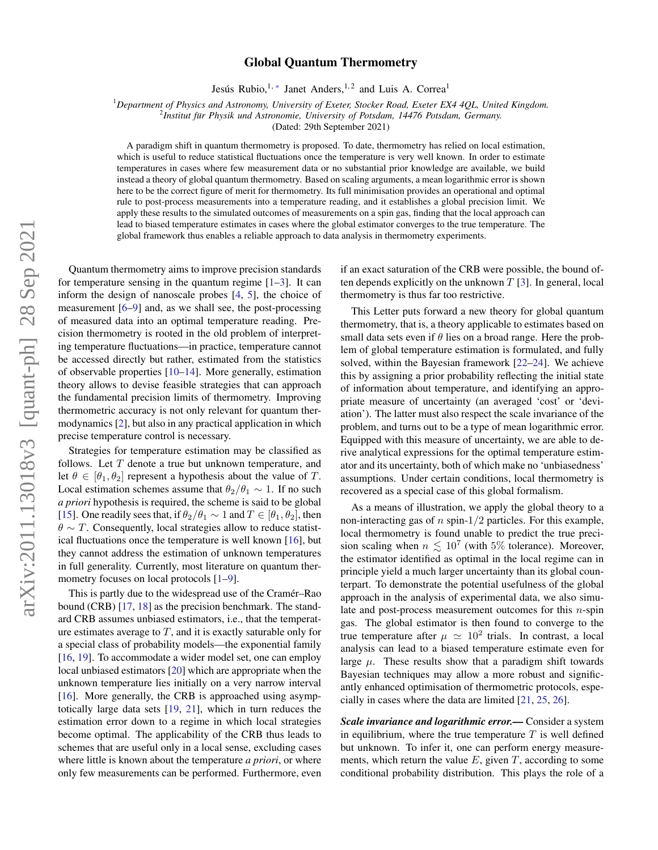# arXiv:2011.13018v3 [quant-ph] 28 Sep 2021 arXiv:2011.13018v3 [quant-ph] 28 Sep 2021

# Global Quantum Thermometry

Jesús Rubio,<sup>1,\*</sup> Janet Anders,<sup>1,2</sup> and Luis A. Correa<sup>1</sup>

<sup>1</sup>*Department of Physics and Astronomy, University of Exeter, Stocker Road, Exeter EX4 4QL, United Kingdom.*

<sup>2</sup> Institut für Physik und Astronomie, University of Potsdam, 14476 Potsdam, Germany.

(Dated: 29th September 2021)

A paradigm shift in quantum thermometry is proposed. To date, thermometry has relied on local estimation, which is useful to reduce statistical fluctuations once the temperature is very well known. In order to estimate temperatures in cases where few measurement data or no substantial prior knowledge are available, we build instead a theory of global quantum thermometry. Based on scaling arguments, a mean logarithmic error is shown here to be the correct figure of merit for thermometry. Its full minimisation provides an operational and optimal rule to post-process measurements into a temperature reading, and it establishes a global precision limit. We apply these results to the simulated outcomes of measurements on a spin gas, finding that the local approach can lead to biased temperature estimates in cases where the global estimator converges to the true temperature. The global framework thus enables a reliable approach to data analysis in thermometry experiments.

Quantum thermometry aims to improve precision standards for temperature sensing in the quantum regime [\[1](#page-3-1)[–3\]](#page-3-2). It can inform the design of nanoscale probes [\[4,](#page-3-3) [5\]](#page-4-0), the choice of measurement [\[6](#page-4-1)[–9\]](#page-4-2) and, as we shall see, the post-processing of measured data into an optimal temperature reading. Precision thermometry is rooted in the old problem of interpreting temperature fluctuations—in practice, temperature cannot be accessed directly but rather, estimated from the statistics of observable properties [\[10–](#page-4-3)[14\]](#page-4-4). More generally, estimation theory allows to devise feasible strategies that can approach the fundamental precision limits of thermometry. Improving thermometric accuracy is not only relevant for quantum thermodynamics [\[2\]](#page-3-4), but also in any practical application in which precise temperature control is necessary.

Strategies for temperature estimation may be classified as follows. Let  $T$  denote a true but unknown temperature, and let  $\theta \in [\theta_1, \theta_2]$  represent a hypothesis about the value of T. Local estimation schemes assume that  $\theta_2/\theta_1 \sim 1$ . If no such *a priori* hypothesis is required, the scheme is said to be global [\[15\]](#page-4-5). One readily sees that, if  $\theta_2/\theta_1 \sim 1$  and  $T \in [\theta_1, \theta_2]$ , then  $\theta \sim T$ . Consequently, local strategies allow to reduce statistical fluctuations once the temperature is well known [\[16\]](#page-4-6), but they cannot address the estimation of unknown temperatures in full generality. Currently, most literature on quantum ther-mometry focuses on local protocols [\[1](#page-3-1)[–9\]](#page-4-2).

This is partly due to the widespread use of the Cramér–Rao bound (CRB) [\[17,](#page-4-7) [18\]](#page-4-8) as the precision benchmark. The standard CRB assumes unbiased estimators, i.e., that the temperature estimates average to  $T$ , and it is exactly saturable only for a special class of probability models—the exponential family [\[16,](#page-4-6) [19\]](#page-4-9). To accommodate a wider model set, one can employ local unbiased estimators [\[20\]](#page-4-10) which are appropriate when the unknown temperature lies initially on a very narrow interval [\[16\]](#page-4-6). More generally, the CRB is approached using asymptotically large data sets [\[19,](#page-4-9) [21\]](#page-4-11), which in turn reduces the estimation error down to a regime in which local strategies become optimal. The applicability of the CRB thus leads to schemes that are useful only in a local sense, excluding cases where little is known about the temperature *a priori*, or where only few measurements can be performed. Furthermore, even

if an exact saturation of the CRB were possible, the bound often depends explicitly on the unknown  $T$  [\[3\]](#page-3-2). In general, local thermometry is thus far too restrictive.

This Letter puts forward a new theory for global quantum thermometry, that is, a theory applicable to estimates based on small data sets even if  $\theta$  lies on a broad range. Here the problem of global temperature estimation is formulated, and fully solved, within the Bayesian framework [\[22–](#page-4-12)[24\]](#page-4-13). We achieve this by assigning a prior probability reflecting the initial state of information about temperature, and identifying an appropriate measure of uncertainty (an averaged 'cost' or 'deviation'). The latter must also respect the scale invariance of the problem, and turns out to be a type of mean logarithmic error. Equipped with this measure of uncertainty, we are able to derive analytical expressions for the optimal temperature estimator and its uncertainty, both of which make no 'unbiasedness' assumptions. Under certain conditions, local thermometry is recovered as a special case of this global formalism.

As a means of illustration, we apply the global theory to a non-interacting gas of n spin- $1/2$  particles. For this example, local thermometry is found unable to predict the true precision scaling when  $n \lesssim 10^7$  (with 5% tolerance). Moreover, the estimator identified as optimal in the local regime can in principle yield a much larger uncertainty than its global counterpart. To demonstrate the potential usefulness of the global approach in the analysis of experimental data, we also simulate and post-process measurement outcomes for this  $n$ -spin gas. The global estimator is then found to converge to the true temperature after  $\mu \simeq 10^2$  trials. In contrast, a local analysis can lead to a biased temperature estimate even for large  $\mu$ . These results show that a paradigm shift towards Bayesian techniques may allow a more robust and significantly enhanced optimisation of thermometric protocols, especially in cases where the data are limited [\[21,](#page-4-11) [25,](#page-4-14) [26\]](#page-4-15).

*Scale invariance and logarithmic error.—* Consider a system in equilibrium, where the true temperature  $T$  is well defined but unknown. To infer it, one can perform energy measurements, which return the value  $E$ , given  $T$ , according to some conditional probability distribution. This plays the role of a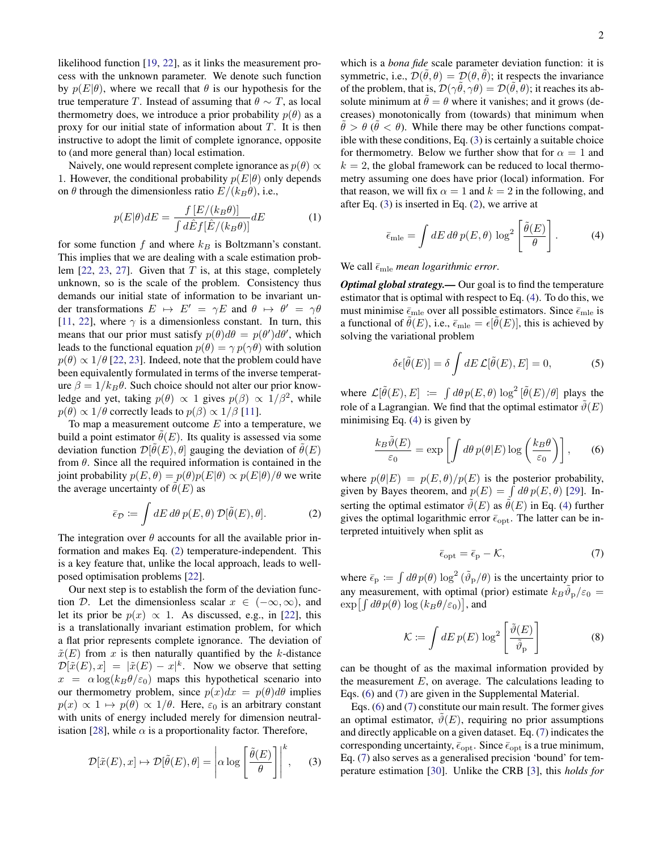likelihood function [\[19,](#page-4-9) [22\]](#page-4-12), as it links the measurement process with the unknown parameter. We denote such function by  $p(E|\theta)$ , where we recall that  $\theta$  is our hypothesis for the true temperature T. Instead of assuming that  $\theta \sim T$ , as local thermometry does, we introduce a prior probability  $p(\theta)$  as a proxy for our initial state of information about  $T$ . It is then instructive to adopt the limit of complete ignorance, opposite to (and more general than) local estimation.

Naively, one would represent complete ignorance as  $p(\theta) \propto$ 1. However, the conditional probability  $p(E|\theta)$  only depends on  $\theta$  through the dimensionless ratio  $E/(k_B\theta)$ , i.e.,

<span id="page-1-5"></span>
$$
p(E|\theta)dE = \frac{f[E/(k_B\theta)]}{\int d\hat{E}f[\hat{E}/(k_B\theta)]}dE
$$
 (1)

for some function f and where  $k_B$  is Boltzmann's constant. This implies that we are dealing with a scale estimation problem  $[22, 23, 27]$  $[22, 23, 27]$  $[22, 23, 27]$  $[22, 23, 27]$  $[22, 23, 27]$ . Given that T is, at this stage, completely unknown, so is the scale of the problem. Consistency thus demands our initial state of information to be invariant under transformations  $E \mapsto E' = \gamma E$  and  $\theta \mapsto \theta' = \gamma \theta$ [\[11,](#page-4-18) [22\]](#page-4-12), where  $\gamma$  is a dimensionless constant. In turn, this means that our prior must satisfy  $p(\theta)d\theta = p(\theta')d\theta'$ , which leads to the functional equation  $p(\theta) = \gamma p(\gamma \theta)$  with solution  $p(\theta) \propto 1/\theta$  [\[22,](#page-4-12) [23\]](#page-4-16). Indeed, note that the problem could have been equivalently formulated in terms of the inverse temperature  $\beta = 1/k_B\theta$ . Such choice should not alter our prior knowledge and yet, taking  $p(\theta) \propto 1$  gives  $p(\beta) \propto 1/\beta^2$ , while  $p(\theta) \propto 1/\theta$  correctly leads to  $p(\beta) \propto 1/\beta$  [\[11\]](#page-4-18).

To map a measurement outcome  $E$  into a temperature, we build a point estimator  $\hat{\theta}(E)$ . Its quality is assessed via some deviation function  $\mathcal{D}[\tilde{\theta}(E), \theta]$  gauging the deviation of  $\tilde{\theta}(E)$ from  $\theta$ . Since all the required information is contained in the joint probability  $p(E, \theta) = p(\theta)p(E|\theta) \propto p(E|\theta)/\theta$  we write the average uncertainty of  $\theta(E)$  as

<span id="page-1-0"></span>
$$
\bar{\epsilon}_{\mathcal{D}} := \int dE \, d\theta \, p(E,\theta) \, \mathcal{D}[\tilde{\theta}(E),\theta]. \tag{2}
$$

The integration over  $\theta$  accounts for all the available prior information and makes Eq. [\(2\)](#page-1-0) temperature-independent. This is a key feature that, unlike the local approach, leads to wellposed optimisation problems [\[22\]](#page-4-12).

Our next step is to establish the form of the deviation function D. Let the dimensionless scalar  $x \in (-\infty, \infty)$ , and let its prior be  $p(x) \propto 1$ . As discussed, e.g., in [\[22\]](#page-4-12), this is a translationally invariant estimation problem, for which a flat prior represents complete ignorance. The deviation of  $\tilde{x}(E)$  from x is then naturally quantified by the k-distance  $\mathcal{D}[\tilde{x}(E), x] = |\tilde{x}(E) - x|^k$ . Now we observe that setting  $x = \alpha \log(k_B \theta/\epsilon_0)$  maps this hypothetical scenario into our thermometry problem, since  $p(x)dx = p(\theta)d\theta$  implies  $p(x) \propto 1 \mapsto p(\theta) \propto 1/\theta$ . Here,  $\varepsilon_0$  is an arbitrary constant with units of energy included merely for dimension neutral-isation [\[28\]](#page-4-19), while  $\alpha$  is a proportionality factor. Therefore,

<span id="page-1-1"></span>
$$
\mathcal{D}[\tilde{x}(E), x] \mapsto \mathcal{D}[\tilde{\theta}(E), \theta] = \left| \alpha \log \left[ \frac{\tilde{\theta}(E)}{\theta} \right] \right|^k, \quad (3)
$$

which is a *bona fide* scale parameter deviation function: it is symmetric, i.e.,  $\mathcal{D}(\tilde{\theta}, \theta) = \mathcal{D}(\theta, \tilde{\theta})$ ; it respects the invariance of the problem, that is,  $\mathcal{D}(\gamma\tilde{\theta},\gamma\theta) = \mathcal{D}(\tilde{\theta},\theta)$ ; it reaches its absolute minimum at  $\theta = \theta$  where it vanishes; and it grows (decreases) monotonically from (towards) that minimum when  $\tilde{\theta} > \theta$  ( $\tilde{\theta} < \theta$ ). While there may be other functions compatible with these conditions, Eq. [\(3\)](#page-1-1) is certainly a suitable choice for thermometry. Below we further show that for  $\alpha = 1$  and  $k = 2$ , the global framework can be reduced to local thermometry assuming one does have prior (local) information. For that reason, we will fix  $\alpha = 1$  and  $k = 2$  in the following, and after Eq. [\(3\)](#page-1-1) is inserted in Eq. [\(2\)](#page-1-0), we arrive at

<span id="page-1-2"></span>
$$
\bar{\epsilon}_{\text{mle}} = \int dE \, d\theta \, p(E, \theta) \, \log^2 \left[ \frac{\tilde{\theta}(E)}{\theta} \right]. \tag{4}
$$

We call  $\bar{\epsilon}_{\text{mle}}$  *mean logarithmic error.* 

*Optimal global strategy.—* Our goal is to find the temperature estimator that is optimal with respect to Eq. [\(4\)](#page-1-2). To do this, we must minimise  $\bar{\epsilon}_{\text{mle}}$  over all possible estimators. Since  $\bar{\epsilon}_{\text{mle}}$  is a functional of  $\tilde{\theta}(E)$ , i.e.,  $\bar{\epsilon}_{\text{mle}} = \epsilon[\tilde{\theta}(E)]$ , this is achieved by solving the variational problem

$$
\delta \epsilon[\tilde{\theta}(E)] = \delta \int dE \mathcal{L}[\tilde{\theta}(E), E] = 0, \tag{5}
$$

where  $\mathcal{L}[\tilde{\theta}(E), E] := \int d\theta p(E, \theta) \log^2 [\tilde{\theta}(E)/\theta]$  plays the role of a Lagrangian. We find that the optimal estimator  $\tilde{\vartheta}(E)$ minimising Eq.  $(4)$  is given by

<span id="page-1-3"></span>
$$
\frac{k_B \tilde{\vartheta}(E)}{\varepsilon_0} = \exp\left[\int d\theta \, p(\theta|E) \log\left(\frac{k_B \theta}{\varepsilon_0}\right)\right],\qquad(6)
$$

where  $p(\theta|E) = p(E, \theta)/p(E)$  is the posterior probability, given by Bayes theorem, and  $p(E) = \int d\theta p(E, \theta)$  [\[29\]](#page-4-20). Inserting the optimal estimator  $\tilde{\theta}(E)$  as  $\tilde{\theta}(E)$  in Eq. [\(4\)](#page-1-2) further gives the optimal logarithmic error  $\bar{\epsilon}_{\text{opt}}$ . The latter can be interpreted intuitively when split as

<span id="page-1-4"></span>
$$
\bar{\epsilon}_{\rm opt} = \bar{\epsilon}_{\rm p} - \mathcal{K},\tag{7}
$$

where  $\bar{\epsilon}_{\rm p} := \int d\theta \, p(\theta) \log^2(\tilde{\vartheta}_{\rm p}/\theta)$  is the uncertainty prior to any measurement, with optimal (prior) estimate  $k_B\tilde{\vartheta}_p/\varepsilon_0 =$  $\exp[\int d\theta p(\theta) \log(k_B\theta/\varepsilon_0)]$ , and

$$
\mathcal{K} := \int dE \, p(E) \, \log^2 \left[ \frac{\tilde{\vartheta}(E)}{\tilde{\vartheta}_{\rm p}} \right] \tag{8}
$$

can be thought of as the maximal information provided by the measurement  $E$ , on average. The calculations leading to Eqs. [\(6\)](#page-1-3) and [\(7\)](#page-1-4) are given in the Supplemental Material.

Eqs. [\(6\)](#page-1-3) and [\(7\)](#page-1-4) constitute our main result. The former gives an optimal estimator,  $\hat{\vartheta}(E)$ , requiring no prior assumptions and directly applicable on a given dataset. Eq. [\(7\)](#page-1-4) indicates the corresponding uncertainty,  $\bar{\epsilon}_{\text{opt}}$ . Since  $\bar{\epsilon}_{\text{opt}}$  is a true minimum, Eq. [\(7\)](#page-1-4) also serves as a generalised precision 'bound' for temperature estimation [\[30\]](#page-4-21). Unlike the CRB [\[3\]](#page-3-2), this *holds for*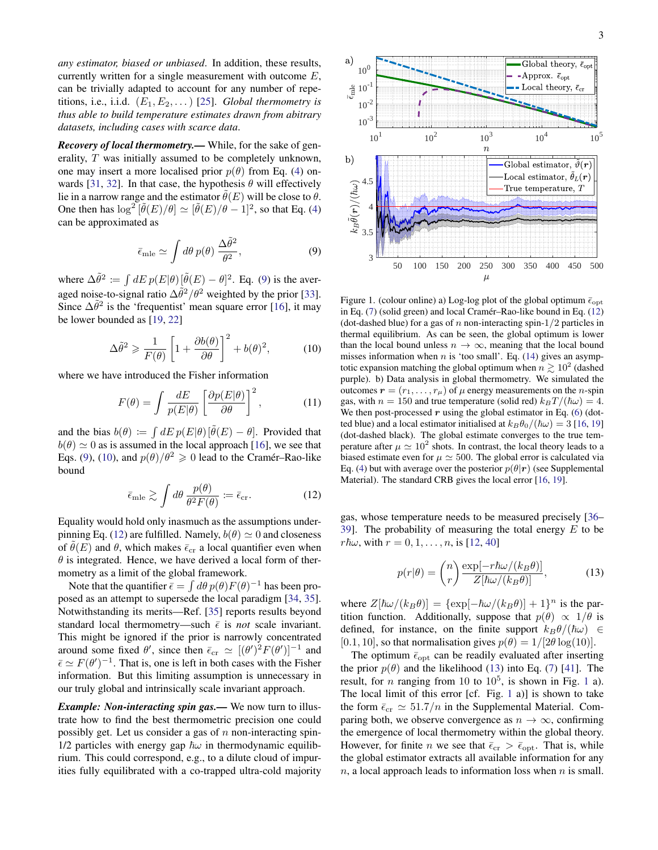*any estimator, biased or unbiased*. In addition, these results, currently written for a single measurement with outcome  $E$ , can be trivially adapted to account for any number of repetitions, i.e., i.i.d.  $(E_1, E_2, \dots)$  [\[25\]](#page-4-14). *Global thermometry is thus able to build temperature estimates drawn from abitrary datasets, including cases with scarce data*.

*Recovery of local thermometry.—* While, for the sake of generality, T was initially assumed to be completely unknown, one may insert a more localised prior  $p(\theta)$  from Eq. [\(4\)](#page-1-2) on-wards [\[31,](#page-4-22) [32\]](#page-4-23). In that case, the hypothesis  $\theta$  will effectively lie in a narrow range and the estimator  $\theta(E)$  will be close to  $\theta$ . One then has  $\log^2 [\tilde{\theta}(E)/\theta] \simeq [\tilde{\theta}(E)/\theta - 1]^2$ , so that Eq. [\(4\)](#page-1-2) can be approximated as

<span id="page-2-0"></span>
$$
\bar{\epsilon}_{\text{mle}} \simeq \int d\theta \, p(\theta) \, \frac{\Delta \tilde{\theta}^2}{\theta^2},\tag{9}
$$

where  $\Delta \tilde{\theta}^2 := \int dE p(E|\theta) [\tilde{\theta}(E) - \theta]^2$ . Eq. [\(9\)](#page-2-0) is the averaged noise-to-signal ratio  $\Delta \tilde{\theta}^2 / \theta^2$  weighted by the prior [\[33\]](#page-4-24). Since  $\Delta \tilde{\theta}^2$  is the 'frequentist' mean square error [\[16\]](#page-4-6), it may be lower bounded as [\[19,](#page-4-9) [22\]](#page-4-12)

<span id="page-2-1"></span>
$$
\Delta \tilde{\theta}^2 \geqslant \frac{1}{F(\theta)} \left[ 1 + \frac{\partial b(\theta)}{\partial \theta} \right]^2 + b(\theta)^2, \tag{10}
$$

where we have introduced the Fisher information

$$
F(\theta) = \int \frac{dE}{p(E|\theta)} \left[ \frac{\partial p(E|\theta)}{\partial \theta} \right]^2, \quad (11)
$$

and the bias  $b(\theta) := \int dE p(E|\theta) [\tilde{\theta}(E) - \theta]$ . Provided that  $b(\theta) \simeq 0$  as is assumed in the local approach [\[16\]](#page-4-6), we see that Eqs. [\(9\)](#page-2-0), [\(10\)](#page-2-1), and  $p(\theta)/\theta^2 \ge 0$  lead to the Cramér–Rao-like bound

<span id="page-2-2"></span>
$$
\bar{\epsilon}_{\text{mle}} \gtrsim \int d\theta \, \frac{p(\theta)}{\theta^2 F(\theta)} := \bar{\epsilon}_{\text{cr}}.\tag{12}
$$

Equality would hold only inasmuch as the assumptions under-pinning Eq. [\(12\)](#page-2-2) are fulfilled. Namely,  $b(\theta) \simeq 0$  and closeness of  $\hat{\theta}(E)$  and  $\theta$ , which makes  $\bar{\epsilon}_{cr}$  a local quantifier even when  $\theta$  is integrated. Hence, we have derived a local form of thermometry as a limit of the global framework.

Note that the quantifier  $\bar{\epsilon} = \int d\theta \, p(\theta) F(\theta)^{-1}$  has been proposed as an attempt to supersede the local paradigm [\[34,](#page-4-25) [35\]](#page-4-26). Notwithstanding its merits—Ref. [\[35\]](#page-4-26) reports results beyond standard local thermometry—such  $\bar{\epsilon}$  is *not* scale invariant. This might be ignored if the prior is narrowly concentrated around some fixed  $\theta'$ , since then  $\bar{\epsilon}_{cr} \simeq [(\theta')^2 F(\theta')]^{-1}$  and  $\bar{\epsilon} \simeq F(\theta')^{-1}$ . That is, one is left in both cases with the Fisher information. But this limiting assumption is unnecessary in our truly global and intrinsically scale invariant approach.

*Example: Non-interacting spin gas.—* We now turn to illustrate how to find the best thermometric precision one could possibly get. Let us consider a gas of  $n$  non-interacting spin-1/2 particles with energy gap  $\hbar\omega$  in thermodynamic equilibrium. This could correspond, e.g., to a dilute cloud of impurities fully equilibrated with a co-trapped ultra-cold majority



<span id="page-2-4"></span>Figure 1. (colour online) a) Log-log plot of the global optimum  $\bar{\epsilon}_{\text{opt}}$ in Eq.  $(7)$  (solid green) and local Cramér–Rao-like bound in Eq.  $(12)$  $(12)$ (dot-dashed blue) for a gas of n non-interacting spin- $1/2$  particles in thermal equilibrium. As can be seen, the global optimum is lower than the local bound unless  $n \to \infty$ , meaning that the local bound misses information when  $n$  is 'too small'. Eq. [\(14\)](#page-3-5) gives an asymptotic expansion matching the global optimum when  $n \gtrsim 10^2$  (dashed purple). b) Data analysis in global thermometry. We simulated the outcomes  $\mathbf{r} = (r_1, \dots, r_\mu)$  of  $\mu$  energy measurements on the *n*-spin gas, with  $n = 150$  and true temperature (solid red)  $k_BT/(\hbar\omega) = 4$ . We then post-processed  $r$  using the global estimator in Eq. [\(6\)](#page-1-3) (dotted blue) and a local estimator initialised at  $k_B\theta_0/(\hbar\omega) = 3$  [\[16,](#page-4-6) [19\]](#page-4-9) (dot-dashed black). The global estimate converges to the true temperature after  $\mu \simeq 10^2$  shots. In contrast, the local theory leads to a biased estimate even for  $\mu \simeq 500$ . The global error is calculated via Eq. [\(4\)](#page-1-2) but with average over the posterior  $p(\theta|\mathbf{r})$  (see Supplemental Material). The standard CRB gives the local error [\[16,](#page-4-6) [19\]](#page-4-9).

gas, whose temperature needs to be measured precisely [\[36–](#page-4-27) [39\]](#page-4-28). The probability of measuring the total energy  $E$  to be  $r\hbar\omega$ , with  $r = 0, 1, ..., n$ , is [\[12,](#page-4-29) [40\]](#page-4-30)

<span id="page-2-3"></span>
$$
p(r|\theta) = {n \choose r} \frac{\exp[-r\hbar\omega/(k_B\theta)]}{Z[\hbar\omega/(k_B\theta)]},
$$
 (13)

where  $Z[\hbar\omega/(k_B\theta)] = {\exp[-\hbar\omega/(k_B\theta)] + 1}^n$  is the partition function. Additionally, suppose that  $p(\theta) \propto 1/\theta$  is defined, for instance, on the finite support  $k_B\theta/(\hbar\omega) \in$ [0.1, 10], so that normalisation gives  $p(\theta) = 1/[2\theta \log(10)].$ 

The optimum  $\bar{\epsilon}_{\text{opt}}$  can be readily evaluated after inserting the prior  $p(\theta)$  and the likelihood [\(13\)](#page-2-3) into Eq. [\(7\)](#page-1-4) [\[41\]](#page-4-31). The result, for *n* ranging from [1](#page-2-4)0 to  $10^5$ , is shown in Fig. 1 a). The local limit of this error [cf. Fig. [1](#page-2-4) a)] is shown to take the form  $\bar{\epsilon}_{cr} \simeq 51.7/n$  in the Supplemental Material. Comparing both, we observe convergence as  $n \to \infty$ , confirming the emergence of local thermometry within the global theory. However, for finite *n* we see that  $\bar{\epsilon}_{cr} > \bar{\epsilon}_{opt}$ . That is, while the global estimator extracts all available information for any  $n$ , a local approach leads to information loss when n is small.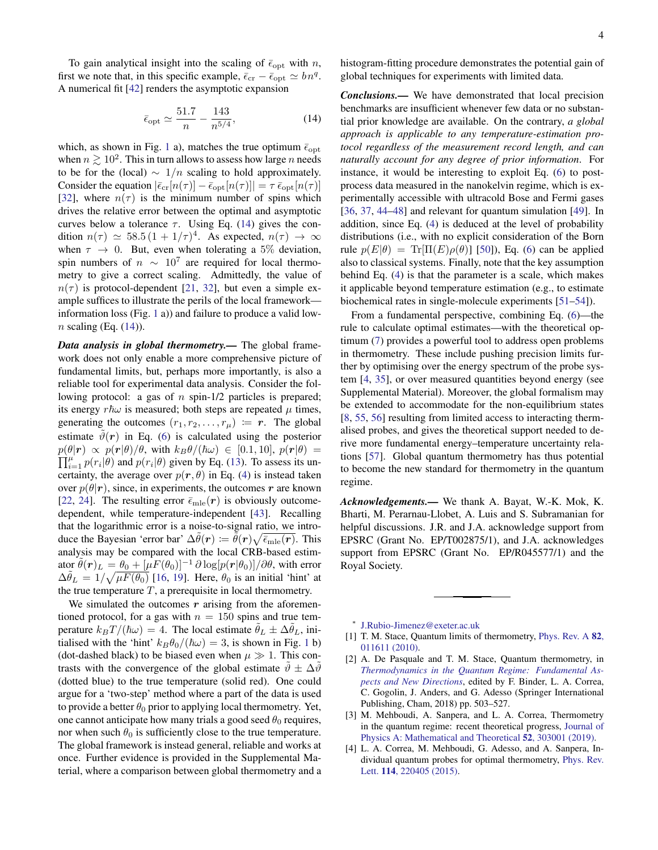To gain analytical insight into the scaling of  $\bar{\epsilon}_{opt}$  with n, first we note that, in this specific example,  $\bar{\epsilon}_{cr} - \bar{\epsilon}_{opt} \simeq b n^q$ . A numerical fit [\[42\]](#page-4-32) renders the asymptotic expansion

<span id="page-3-5"></span>
$$
\bar{\epsilon}_{\text{opt}} \simeq \frac{51.7}{n} - \frac{143}{n^{5/4}},\tag{14}
$$

which, as shown in Fig. [1](#page-2-4) a), matches the true optimum  $\bar{\epsilon}_{\text{opt}}$ when  $n \geq 10^2$ . This in turn allows to assess how large n needs to be for the (local)  $\sim 1/n$  scaling to hold approximately. Consider the equation  $|\bar{\epsilon}_{cr}[n(\tau)] - \bar{\epsilon}_{opt}[n(\tau)]| = \tau \bar{\epsilon}_{opt}[n(\tau)]$ [\[32\]](#page-4-23), where  $n(\tau)$  is the minimum number of spins which drives the relative error between the optimal and asymptotic curves below a tolerance  $\tau$ . Using Eq. [\(14\)](#page-3-5) gives the condition  $n(\tau) \simeq 58.5 \, (1 + 1/\tau)^4$ . As expected,  $n(\tau) \to \infty$ when  $\tau \to 0$ . But, even when tolerating a 5% deviation, spin numbers of  $n \sim 10^7$  are required for local thermometry to give a correct scaling. Admittedly, the value of  $n(\tau)$  is protocol-dependent [\[21,](#page-4-11) [32\]](#page-4-23), but even a simple example suffices to illustrate the perils of the local framework information loss (Fig. [1](#page-2-4) a)) and failure to produce a valid low $n$  scaling (Eq.  $(14)$ ).

*Data analysis in global thermometry.—* The global framework does not only enable a more comprehensive picture of fundamental limits, but, perhaps more importantly, is also a reliable tool for experimental data analysis. Consider the following protocol: a gas of  $n$  spin-1/2 particles is prepared; its energy  $r\hbar\omega$  is measured; both steps are repeated  $\mu$  times, generating the outcomes  $(r_1, r_2, \ldots, r_\mu) := r$ . The global estimate  $\hat{\vartheta}(r)$  in Eq. [\(6\)](#page-1-3) is calculated using the posterior  $\prod_{i=1}^{\mu} p(r_i|\theta)$  and  $p(r_i|\theta)$  given by Eq. [\(13\)](#page-2-3). To assess its un $p(\theta|\mathbf{r}) \propto p(\mathbf{r}|\theta)/\theta$ , with  $k_B\theta/(\hbar\omega) \in [0.1, 10]$ ,  $p(\mathbf{r}|\theta) =$ certainty, the average over  $p(r, \theta)$  in Eq. [\(4\)](#page-1-2) is instead taken over  $p(\theta|\mathbf{r})$ , since, in experiments, the outcomes r are known [\[22,](#page-4-12) [24\]](#page-4-13). The resulting error  $\bar{\epsilon}_{mle}(r)$  is obviously outcomedependent, while temperature-independent [\[43\]](#page-4-33). Recalling that the logarithmic error is a noise-to-signal ratio, we introduce the Bayesian 'error bar'  $\Delta\tilde{\theta}(r) \coloneqq \tilde{\tilde{\theta}}(r)\sqrt{\bar{\epsilon}_{\text{mle}}(r)}$ . This analysis may be compared with the local CRB-based estimator  $\tilde{\theta}(\bm{r})_L = \theta_0 + [\mu F(\theta_0)]^{-1} \, \partial \log[p(\bm{r}|\theta_0)]/\partial \theta$ , with error  $\Delta \tilde{\theta}_L = 1/\sqrt{\mu F(\theta_0)}$  [\[16,](#page-4-6) [19\]](#page-4-9). Here,  $\theta_0$  is an initial 'hint' at the true temperature  $T$ , a prerequisite in local thermometry.

We simulated the outcomes  $r$  arising from the aforementioned protocol, for a gas with  $n = 150$  spins and true temperature  $k_BT/(\hbar\omega) = 4$ . The local estimate  $\hat{\theta}_L \pm \Delta \hat{\theta}_L$ , initialised with the 'hint'  $k_B\theta_0/(\hbar\omega) = 3$ , is shown in Fig. [1](#page-2-4) b) (dot-dashed black) to be biased even when  $\mu \gg 1$ . This contrasts with the convergence of the global estimate  $\vartheta \pm \Delta \vartheta$ (dotted blue) to the true temperature (solid red). One could argue for a 'two-step' method where a part of the data is used to provide a better  $\theta_0$  prior to applying local thermometry. Yet, one cannot anticipate how many trials a good seed  $\theta_0$  requires, nor when such  $\theta_0$  is sufficiently close to the true temperature. The global framework is instead general, reliable and works at once. Further evidence is provided in the Supplemental Material, where a comparison between global thermometry and a histogram-fitting procedure demonstrates the potential gain of global techniques for experiments with limited data.

*Conclusions.—* We have demonstrated that local precision benchmarks are insufficient whenever few data or no substantial prior knowledge are available. On the contrary, *a global approach is applicable to any temperature-estimation protocol regardless of the measurement record length, and can naturally account for any degree of prior information*. For instance, it would be interesting to exploit Eq. [\(6\)](#page-1-3) to postprocess data measured in the nanokelvin regime, which is experimentally accessible with ultracold Bose and Fermi gases [\[36,](#page-4-27) [37,](#page-4-34) [44–](#page-4-35)[48\]](#page-5-0) and relevant for quantum simulation [\[49\]](#page-5-1). In addition, since Eq. [\(4\)](#page-1-2) is deduced at the level of probability distributions (i.e., with no explicit consideration of the Born rule  $p(E|\theta) = \text{Tr}[\Pi(E)\rho(\theta)]$  [\[50\]](#page-5-2)), Eq. [\(6\)](#page-1-3) can be applied also to classical systems. Finally, note that the key assumption behind Eq. [\(4\)](#page-1-2) is that the parameter is a scale, which makes it applicable beyond temperature estimation (e.g., to estimate biochemical rates in single-molecule experiments [\[51](#page-5-3)[–54\]](#page-5-4)).

From a fundamental perspective, combining Eq. [\(6\)](#page-1-3)—the rule to calculate optimal estimates—with the theoretical optimum [\(7\)](#page-1-4) provides a powerful tool to address open problems in thermometry. These include pushing precision limits further by optimising over the energy spectrum of the probe system [\[4,](#page-3-3) [35\]](#page-4-26), or over measured quantities beyond energy (see Supplemental Material). Moreover, the global formalism may be extended to accommodate for the non-equilibrium states [\[8,](#page-4-36) [55,](#page-5-5) [56\]](#page-5-6) resulting from limited access to interacting thermalised probes, and gives the theoretical support needed to derive more fundamental energy–temperature uncertainty relations [\[57\]](#page-5-7). Global quantum thermometry has thus potential to become the new standard for thermometry in the quantum regime.

*Acknowledgements.—* We thank A. Bayat, W.-K. Mok, K. Bharti, M. Perarnau-Llobet, A. Luis and S. Subramanian for helpful discussions. J.R. and J.A. acknowledge support from EPSRC (Grant No. EP/T002875/1), and J.A. acknowledges support from EPSRC (Grant No. EP/R045577/1) and the Royal Society.

<span id="page-3-0"></span>∗ [J.Rubio-Jimenez@exeter.ac.uk](mailto:J.Rubio-Jimenez@exeter.ac.uk)

- <span id="page-3-1"></span>[1] T. M. Stace, Quantum limits of thermometry, [Phys. Rev. A](https://doi.org/10.1103/PhysRevA.82.011611) 82, [011611 \(2010\).](https://doi.org/10.1103/PhysRevA.82.011611)
- <span id="page-3-4"></span>[2] A. De Pasquale and T. M. Stace, Quantum thermometry, in *[Thermodynamics in the Quantum Regime: Fundamental As](https://doi.org/10.1007/978-3-319-99046-0_21)[pects and New Directions](https://doi.org/10.1007/978-3-319-99046-0_21)*, edited by F. Binder, L. A. Correa, C. Gogolin, J. Anders, and G. Adesso (Springer International Publishing, Cham, 2018) pp. 503–527.
- <span id="page-3-2"></span>[3] M. Mehboudi, A. Sanpera, and L. A. Correa, Thermometry in the quantum regime: recent theoretical progress, [Journal of](https://doi.org/10.1088/1751-8121/ab2828) [Physics A: Mathematical and Theoretical](https://doi.org/10.1088/1751-8121/ab2828) 52, 303001 (2019).
- <span id="page-3-3"></span>[4] L. A. Correa, M. Mehboudi, G. Adesso, and A. Sanpera, Individual quantum probes for optimal thermometry, [Phys. Rev.](https://doi.org/10.1103/PhysRevLett.114.220405) Lett. 114[, 220405 \(2015\).](https://doi.org/10.1103/PhysRevLett.114.220405)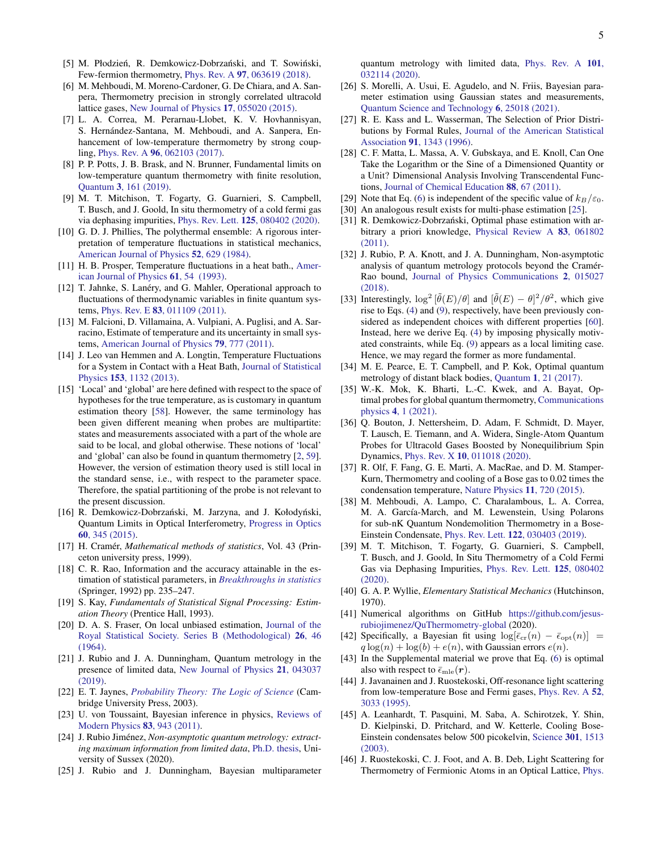- <span id="page-4-0"></span>[5] M. Płodzień, R. Demkowicz-Dobrzański, and T. Sowiński, Few-fermion thermometry, Phys. Rev. A 97[, 063619 \(2018\).](https://doi.org/10.1103/PhysRevA.97.063619)
- <span id="page-4-1"></span>[6] M. Mehboudi, M. Moreno-Cardoner, G. De Chiara, and A. Sanpera, Thermometry precision in strongly correlated ultracold lattice gases, [New Journal of Physics](https://doi.org/10.1088/1367-2630/17/5/055020) 17, 055020 (2015).
- [7] L. A. Correa, M. Perarnau-Llobet, K. V. Hovhannisyan, S. Hernández-Santana, M. Mehboudi, and A. Sanpera, Enhancement of low-temperature thermometry by strong coupling, Phys. Rev. A 96[, 062103 \(2017\).](https://doi.org/10.1103/PhysRevA.96.062103)
- <span id="page-4-36"></span>[8] P. P. Potts, J. B. Brask, and N. Brunner, Fundamental limits on low-temperature quantum thermometry with finite resolution, Quantum 3[, 161 \(2019\).](https://doi.org/10.22331/q-2019-07-09-161)
- <span id="page-4-2"></span>[9] M. T. Mitchison, T. Fogarty, G. Guarnieri, S. Campbell, T. Busch, and J. Goold, In situ thermometry of a cold fermi gas via dephasing impurities, Phys. Rev. Lett. 125[, 080402 \(2020\).](https://doi.org/10.1103/PhysRevLett.125.080402)
- <span id="page-4-3"></span>[10] G. D. J. Phillies, The polythermal ensemble: A rigorous interpretation of temperature fluctuations in statistical mechanics, [American Journal of Physics](https://doi.org/10.1119/1.13583) 52, 629 (1984).
- <span id="page-4-18"></span>[11] H. B. Prosper, Temperature fluctuations in a heat bath., [Amer](https://aapt.scitation.org/doi/10.1119/1.17410)[ican Journal of Physics](https://aapt.scitation.org/doi/10.1119/1.17410) 61, 54 (1993).
- <span id="page-4-29"></span>[12] T. Jahnke, S. Lanéry, and G. Mahler, Operational approach to fluctuations of thermodynamic variables in finite quantum systems, Phys. Rev. E 83[, 011109 \(2011\).](https://doi.org/10.1103/PhysRevE.83.011109)
- [13] M. Falcioni, D. Villamaina, A. Vulpiani, A. Puglisi, and A. Sarracino, Estimate of temperature and its uncertainty in small systems, [American Journal of Physics](https://doi.org/10.1119/1.3563046) 79, 777 (2011).
- <span id="page-4-4"></span>[14] J. Leo van Hemmen and A. Longtin, Temperature Fluctuations for a System in Contact with a Heat Bath, [Journal of Statistical](https://doi.org/10.1007/s10955-013-0867-9) Physics 153[, 1132 \(2013\).](https://doi.org/10.1007/s10955-013-0867-9)
- <span id="page-4-5"></span>[15] 'Local' and 'global' are here defined with respect to the space of hypotheses for the true temperature, as is customary in quantum estimation theory [\[58\]](#page-5-8). However, the same terminology has been given different meaning when probes are multipartite: states and measurements associated with a part of the whole are said to be local, and global otherwise. These notions of 'local' and 'global' can also be found in quantum thermometry [\[2,](#page-3-4) [59\]](#page-5-9). However, the version of estimation theory used is still local in the standard sense, i.e., with respect to the parameter space. Therefore, the spatial partitioning of the probe is not relevant to the present discussion.
- <span id="page-4-6"></span>[16] R. Demkowicz-Dobrzański, M. Jarzyna, and J. Kołodyński, Quantum Limits in Optical Interferometry, [Progress in Optics](https://doi.org/10.1016/bs.po.2015.02.003) 60[, 345 \(2015\).](https://doi.org/10.1016/bs.po.2015.02.003)
- <span id="page-4-7"></span>[17] H. Cramér, *Mathematical methods of statistics*, Vol. 43 (Princeton university press, 1999).
- <span id="page-4-8"></span>[18] C. R. Rao, Information and the accuracy attainable in the estimation of statistical parameters, in *[Breakthroughs in statistics](https://doi.org/10.1007/978-1-4612-0919-5_16)* (Springer, 1992) pp. 235–247.
- <span id="page-4-9"></span>[19] S. Kay, *Fundamentals of Statistical Signal Processing: Estimation Theory* (Prentice Hall, 1993).
- <span id="page-4-10"></span>[20] D. A. S. Fraser, On local unbiased estimation, [Journal of the](http://www.jstor.org/stable/2984603) [Royal Statistical Society. Series B \(Methodological\)](http://www.jstor.org/stable/2984603) 26, 46 [\(1964\).](http://www.jstor.org/stable/2984603)
- <span id="page-4-11"></span>[21] J. Rubio and J. A. Dunningham, Quantum metrology in the presence of limited data, [New Journal of Physics](https://doi.org/10.1088/1367-2630/ab098b) 21, 043037 [\(2019\).](https://doi.org/10.1088/1367-2630/ab098b)
- <span id="page-4-12"></span>[22] E. T. Jaynes, *[Probability Theory: The Logic of Science](https://doi.org/10.1017/CBO9780511790423)* (Cambridge University Press, 2003).
- <span id="page-4-16"></span>[23] U. von Toussaint, Bayesian inference in physics, [Reviews of](https://doi.org/10.1103/RevModPhys.83.943) [Modern Physics](https://doi.org/10.1103/RevModPhys.83.943) 83, 943 (2011).
- <span id="page-4-13"></span>[24] J. Rubio Jiménez, Non-asymptotic quantum metrology: extract*ing maximum information from limited data*, [Ph.D. thesis,](https://ethos.bl.uk/OrderDetails.do?uin=uk.bl.ethos.801042) University of Sussex (2020).
- <span id="page-4-14"></span>[25] J. Rubio and J. Dunningham, Bayesian multiparameter

quantum metrology with limited data, [Phys. Rev. A](https://doi.org/10.1103/PhysRevA.101.032114) 101, [032114 \(2020\).](https://doi.org/10.1103/PhysRevA.101.032114)

- <span id="page-4-15"></span>[26] S. Morelli, A. Usui, E. Agudelo, and N. Friis, Bayesian parameter estimation using Gaussian states and measurements, [Quantum Science and Technology](https://doi.org/https://doi.org/10.1088/2058-9565/abd83d) 6, 25018 (2021).
- <span id="page-4-17"></span>[27] R. E. Kass and L. Wasserman, The Selection of Prior Distributions by Formal Rules, [Journal of the American Statistical](https://doi.org/10.1080/01621459.1996.10477003) Association 91[, 1343 \(1996\).](https://doi.org/10.1080/01621459.1996.10477003)
- <span id="page-4-19"></span>[28] C. F. Matta, L. Massa, A. V. Gubskaya, and E. Knoll, Can One Take the Logarithm or the Sine of a Dimensioned Quantity or a Unit? Dimensional Analysis Involving Transcendental Functions, [Journal of Chemical Education](https://doi.org/https://doi.org/10.1021/ed1000476) 88, 67 (2011).
- <span id="page-4-20"></span>[29] Note that Eq. [\(6\)](#page-1-3) is independent of the specific value of  $k_B/\varepsilon_0$ .
- <span id="page-4-21"></span>[30] An analogous result exists for multi-phase estimation [\[25\]](#page-4-14).
- <span id="page-4-22"></span>[31] R. Demkowicz-Dobrzański, Optimal phase estimation with arbitrary a priori knowledge, [Physical Review A](https://doi.org/10.1103/PhysRevA.83.061802) 83, 061802 [\(2011\).](https://doi.org/10.1103/PhysRevA.83.061802)
- <span id="page-4-23"></span>[32] J. Rubio, P. A. Knott, and J. A. Dunningham, Non-asymptotic analysis of quantum metrology protocols beyond the Cramér-Rao bound, [Journal of Physics Communications](https://doi.org/10.1088/2399-6528/aaa234) 2, 015027 [\(2018\).](https://doi.org/10.1088/2399-6528/aaa234)
- <span id="page-4-24"></span>[33] Interestingly,  $\log^2[\tilde{\theta}(E)/\theta]$  and  $[\tilde{\theta}(E) - \theta]^2/\theta^2$ , which give rise to Eqs. [\(4\)](#page-1-2) and [\(9\)](#page-2-0), respectively, have been previously considered as independent choices with different properties [\[60\]](#page-5-10). Instead, here we derive Eq. [\(4\)](#page-1-2) by imposing physically motivated constraints, while Eq. [\(9\)](#page-2-0) appears as a local limiting case. Hence, we may regard the former as more fundamental.
- <span id="page-4-25"></span>[34] M. E. Pearce, E. T. Campbell, and P. Kok, Optimal quantum metrology of distant black bodies, Quantum 1[, 21 \(2017\).](https://doi.org/10.22331/q-2017-07-26-21)
- <span id="page-4-26"></span>[35] W.-K. Mok, K. Bharti, L.-C. Kwek, and A. Bayat, Optimal probes for global quantum thermometry, [Communications](https://doi.org/https://doi.org/10.1038/s42005-021-00572-w) physics 4[, 1 \(2021\).](https://doi.org/https://doi.org/10.1038/s42005-021-00572-w)
- <span id="page-4-27"></span>[36] Q. Bouton, J. Nettersheim, D. Adam, F. Schmidt, D. Mayer, T. Lausch, E. Tiemann, and A. Widera, Single-Atom Quantum Probes for Ultracold Gases Boosted by Nonequilibrium Spin Dynamics, Phys. Rev. X 10[, 011018 \(2020\).](https://doi.org/10.1103/PhysRevX.10.011018)
- <span id="page-4-34"></span>[37] R. Olf, F. Fang, G. E. Marti, A. MacRae, and D. M. Stamper-Kurn, Thermometry and cooling of a Bose gas to 0.02 times the condensation temperature, [Nature Physics](https://doi.org/10.1038/nphys3408) 11, 720 (2015).
- [38] M. Mehboudi, A. Lampo, C. Charalambous, L. A. Correa, M. A. García-March, and M. Lewenstein, Using Polarons for sub-nK Quantum Nondemolition Thermometry in a Bose-Einstein Condensate, Phys. Rev. Lett. 122[, 030403 \(2019\).](https://doi.org/10.1103/PhysRevLett.122.030403)
- <span id="page-4-28"></span>[39] M. T. Mitchison, T. Fogarty, G. Guarnieri, S. Campbell, T. Busch, and J. Goold, In Situ Thermometry of a Cold Fermi Gas via Dephasing Impurities, [Phys. Rev. Lett.](https://doi.org/10.1103/PhysRevLett.125.080402) 125, 080402 [\(2020\).](https://doi.org/10.1103/PhysRevLett.125.080402)
- <span id="page-4-30"></span>[40] G. A. P. Wyllie, *Elementary Statistical Mechanics* (Hutchinson, 1970).
- <span id="page-4-31"></span>[41] Numerical algorithms on GitHub [https://github.com/jesus](https://github.com/jesus-rubiojimenez/QuThermometry-global)[rubiojimenez/QuThermometry-global](https://github.com/jesus-rubiojimenez/QuThermometry-global) (2020).
- <span id="page-4-32"></span>[42] Specifically, a Bayesian fit using  $\log[\bar{\epsilon}_{cr}(n) - \bar{\epsilon}_{opt}(n)] =$  $q \log(n) + \log(b) + e(n)$ , with Gaussian errors  $e(n)$ .
- <span id="page-4-33"></span>[43] In the Supplemental material we prove that Eq. [\(6\)](#page-1-3) is optimal also with respect to  $\bar{\epsilon}_{\text{mle}}(\bm{r})$ .
- <span id="page-4-35"></span>[44] J. Javanainen and J. Ruostekoski, Off-resonance light scattering from low-temperature Bose and Fermi gases, [Phys. Rev. A](https://doi.org/10.1103/PhysRevA.52.3033) 52, [3033 \(1995\).](https://doi.org/10.1103/PhysRevA.52.3033)
- [45] A. Leanhardt, T. Pasquini, M. Saba, A. Schirotzek, Y. Shin, D. Kielpinski, D. Pritchard, and W. Ketterle, Cooling Bose-Einstein condensates below 500 picokelvin, [Science](https://doi.org/10.1126/science.1088827) 301, 1513 [\(2003\).](https://doi.org/10.1126/science.1088827)
- [46] J. Ruostekoski, C. J. Foot, and A. B. Deb, Light Scattering for Thermometry of Fermionic Atoms in an Optical Lattice, [Phys.](https://doi.org/10.1103/PhysRevLett.103.170404)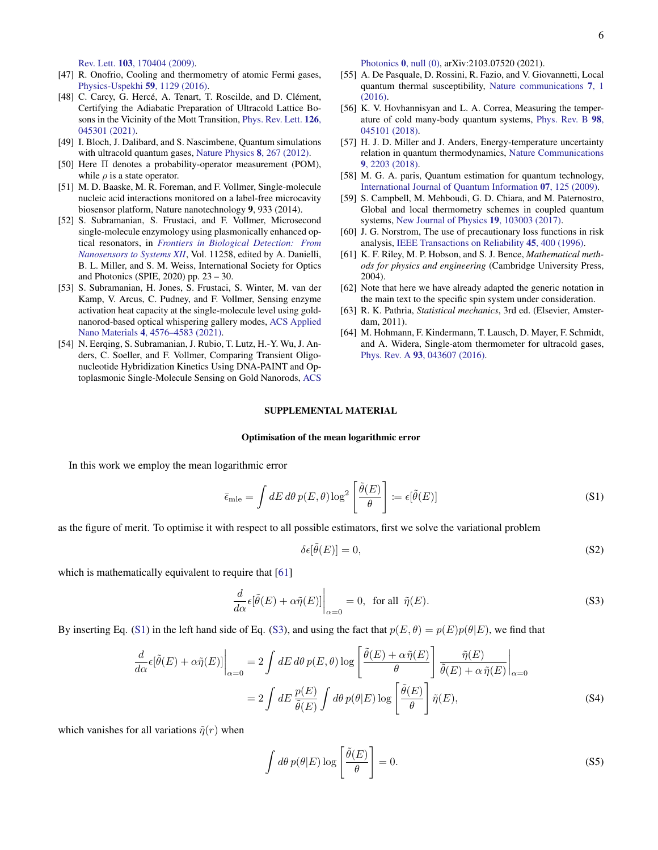Rev. Lett. 103[, 170404 \(2009\).](https://doi.org/10.1103/PhysRevLett.103.170404)

- [47] R. Onofrio, Cooling and thermometry of atomic Fermi gases, [Physics-Uspekhi](https://doi.org/10.3367/ufne.2016.07.037873) 59, 1129 (2016).
- <span id="page-5-0"></span>[48] C. Carcy, G. Hercé, A. Tenart, T. Roscilde, and D. Clément, Certifying the Adiabatic Preparation of Ultracold Lattice Bosons in the Vicinity of the Mott Transition, [Phys. Rev. Lett.](https://doi.org/10.1103/PhysRevLett.126.045301) 126, [045301 \(2021\).](https://doi.org/10.1103/PhysRevLett.126.045301)
- <span id="page-5-1"></span>[49] I. Bloch, J. Dalibard, and S. Nascimbene, Quantum simulations with ultracold quantum gases, [Nature Physics](https://doi.org/10.1038/nphys2259) 8, 267 (2012).
- <span id="page-5-2"></span>[50] Here Π denotes a probability-operator measurement (POM), while  $\rho$  is a state operator.
- <span id="page-5-3"></span>[51] M. D. Baaske, M. R. Foreman, and F. Vollmer, Single-molecule nucleic acid interactions monitored on a label-free microcavity biosensor platform, Nature nanotechnology 9, 933 (2014).
- [52] S. Subramanian, S. Frustaci, and F. Vollmer, Microsecond single-molecule enzymology using plasmonically enhanced optical resonators, in *[Frontiers in Biological Detection: From](https://doi.org/10.1117/12.2559381) [Nanosensors to Systems XII](https://doi.org/10.1117/12.2559381)*, Vol. 11258, edited by A. Danielli, B. L. Miller, and S. M. Weiss, International Society for Optics and Photonics (SPIE, 2020) pp. 23 – 30.
- [53] S. Subramanian, H. Jones, S. Frustaci, S. Winter, M. van der Kamp, V. Arcus, C. Pudney, and F. Vollmer, Sensing enzyme activation heat capacity at the single-molecule level using goldnanorod-based optical whispering gallery modes, [ACS Applied](https://doi.org/10.1021/acsanm.1c00176) Nano Materials 4[, 4576–4583 \(2021\).](https://doi.org/10.1021/acsanm.1c00176)
- <span id="page-5-4"></span>[54] N. Eerqing, S. Subramanian, J. Rubio, T. Lutz, H.-Y. Wu, J. Anders, C. Soeller, and F. Vollmer, Comparing Transient Oligonucleotide Hybridization Kinetics Using DNA-PAINT and Optoplasmonic Single-Molecule Sensing on Gold Nanorods, [ACS](https://doi.org/10.1021/acsphotonics.1c01179)

[Photonics](https://doi.org/10.1021/acsphotonics.1c01179) 0, null (0), arXiv:2103.07520 (2021).

- <span id="page-5-5"></span>[55] A. De Pasquale, D. Rossini, R. Fazio, and V. Giovannetti, Local quantum thermal susceptibility, [Nature communications](https://doi.org/10.1038/ncomms12782) 7, 1 [\(2016\).](https://doi.org/10.1038/ncomms12782)
- <span id="page-5-6"></span>[56] K. V. Hovhannisyan and L. A. Correa, Measuring the temperature of cold many-body quantum systems, [Phys. Rev. B](https://doi.org/10.1103/PhysRevB.98.045101) 98, [045101 \(2018\).](https://doi.org/10.1103/PhysRevB.98.045101)
- <span id="page-5-7"></span>[57] H. J. D. Miller and J. Anders, Energy-temperature uncertainty relation in quantum thermodynamics, [Nature Communications](https://doi.org/10.1038/s41467-018-04536-7) 9[, 2203 \(2018\).](https://doi.org/10.1038/s41467-018-04536-7)
- <span id="page-5-8"></span>[58] M. G. A. paris, Quantum estimation for quantum technology, [International Journal of Quantum Information](https://doi.org/10.1142/S0219749909004839) 07, 125 (2009).
- <span id="page-5-9"></span>[59] S. Campbell, M. Mehboudi, G. D. Chiara, and M. Paternostro, Global and local thermometry schemes in coupled quantum systems, [New Journal of Physics](https://doi.org/10.1088/1367-2630/aa7fac) 19, 103003 (2017).
- <span id="page-5-10"></span>[60] J. G. Norstrom, The use of precautionary loss functions in risk analysis, [IEEE Transactions on Reliability](https://doi.org/https://doi.org/10.1109/24.536992) 45, 400 (1996).
- <span id="page-5-11"></span>[61] K. F. Riley, M. P. Hobson, and S. J. Bence, *Mathematical methods for physics and engineering* (Cambridge University Press, 2004).
- <span id="page-5-12"></span>[62] Note that here we have already adapted the generic notation in the main text to the specific spin system under consideration.
- <span id="page-5-13"></span>[63] R. K. Pathria, *Statistical mechanics*, 3rd ed. (Elsevier, Amsterdam, 2011).
- <span id="page-5-14"></span>[64] M. Hohmann, F. Kindermann, T. Lausch, D. Mayer, F. Schmidt, and A. Widera, Single-atom thermometer for ultracold gases, Phys. Rev. A 93[, 043607 \(2016\).](https://doi.org/10.1103/PhysRevA.93.043607)

# SUPPLEMENTAL MATERIAL

### Optimisation of the mean logarithmic error

In this work we employ the mean logarithmic error

$$
\bar{\epsilon}_{\text{mle}} = \int dE \, d\theta \, p(E,\theta) \log^2 \left[ \frac{\tilde{\theta}(E)}{\theta} \right] := \epsilon[\tilde{\theta}(E)] \tag{S1}
$$

as the figure of merit. To optimise it with respect to all possible estimators, first we solve the variational problem

$$
\delta \epsilon [\tilde{\theta}(E)] = 0,\tag{S2}
$$

which is mathematically equivalent to require that [\[61\]](#page-5-11)

$$
\frac{d}{d\alpha}\epsilon[\tilde{\theta}(E) + \alpha \tilde{\eta}(E)]\Big|_{\alpha=0} = 0, \text{ for all } \tilde{\eta}(E). \tag{S3}
$$

By inserting Eq. [\(S1\)](#page-1-5) in the left hand side of Eq. [\(S3\)](#page-1-1), and using the fact that  $p(E, \theta) = p(E)p(\theta|E)$ , we find that

$$
\frac{d}{d\alpha}\epsilon[\tilde{\theta}(E) + \alpha\tilde{\eta}(E)]\Big|_{\alpha=0} = 2\int dE \,d\theta \,p(E,\theta) \log\left[\frac{\tilde{\theta}(E) + \alpha\tilde{\eta}(E)}{\theta}\right] \frac{\tilde{\eta}(E)}{\tilde{\theta}(E) + \alpha\tilde{\eta}(E)}\Big|_{\alpha=0}
$$
\n
$$
= 2\int dE \frac{p(E)}{\tilde{\theta}(E)} \int d\theta \,p(\theta|E) \log\left[\frac{\tilde{\theta}(E)}{\theta}\right] \tilde{\eta}(E), \tag{S4}
$$

which vanishes for all variations  $\tilde{\eta}(r)$  when

$$
\int d\theta \, p(\theta|E) \log \left[ \frac{\tilde{\theta}(E)}{\theta} \right] = 0. \tag{S5}
$$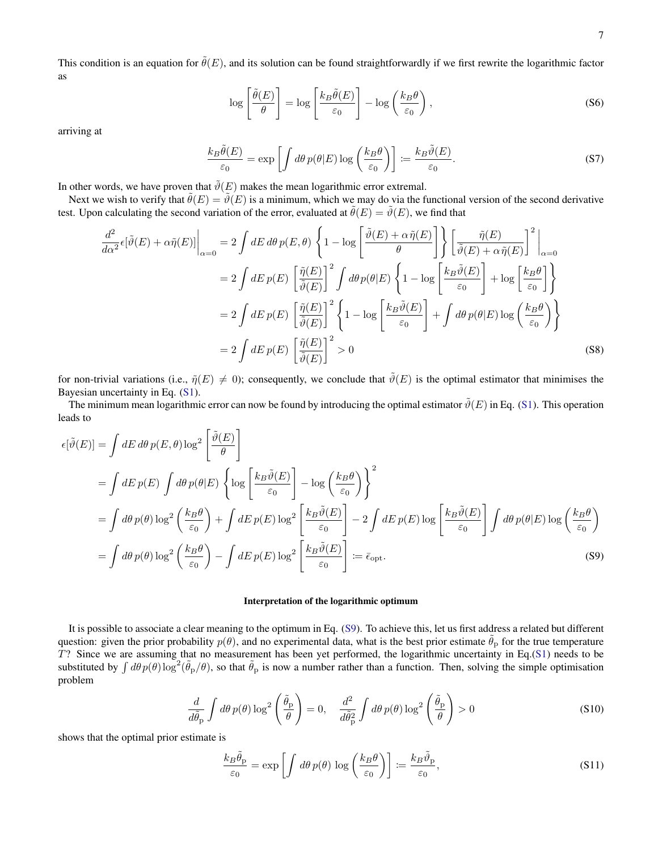This condition is an equation for  $\tilde{\theta}(E)$ , and its solution can be found straightforwardly if we first rewrite the logarithmic factor as

$$
\log\left[\frac{\tilde{\theta}(E)}{\theta}\right] = \log\left[\frac{k_B\tilde{\theta}(E)}{\varepsilon_0}\right] - \log\left(\frac{k_B\theta}{\varepsilon_0}\right),\tag{S6}
$$

arriving at

$$
\frac{k_B \tilde{\theta}(E)}{\varepsilon_0} = \exp\left[\int d\theta \, p(\theta|E) \log\left(\frac{k_B \theta}{\varepsilon_0}\right)\right] := \frac{k_B \tilde{\vartheta}(E)}{\varepsilon_0}.\tag{S7}
$$

In other words, we have proven that  $\tilde{\vartheta}(E)$  makes the mean logarithmic error extremal.

Next we wish to verify that  $\tilde{\theta}(E) = \tilde{\theta}(E)$  is a minimum, which we may do via the functional version of the second derivative test. Upon calculating the second variation of the error, evaluated at  $\tilde{\theta}(E) = \tilde{\theta}(E)$ , we find that

$$
\frac{d^2}{d\alpha^2} \epsilon[\tilde{\vartheta}(E) + \alpha \tilde{\eta}(E)]\Big|_{\alpha=0} = 2 \int dE \, d\theta \, p(E, \theta) \left\{ 1 - \log \left[ \frac{\tilde{\vartheta}(E) + \alpha \tilde{\eta}(E)}{\theta} \right] \right\} \left[ \frac{\tilde{\eta}(E)}{\tilde{\vartheta}(E) + \alpha \tilde{\eta}(E)} \right]^2 \Big|_{\alpha=0}
$$
  
\n
$$
= 2 \int dE \, p(E) \left[ \frac{\tilde{\eta}(E)}{\tilde{\vartheta}(E)} \right]^2 \int d\theta \, p(\theta|E) \left\{ 1 - \log \left[ \frac{k_B \tilde{\vartheta}(E)}{\varepsilon_0} \right] + \log \left[ \frac{k_B \theta}{\varepsilon_0} \right] \right\}
$$
  
\n
$$
= 2 \int dE \, p(E) \left[ \frac{\tilde{\eta}(E)}{\tilde{\vartheta}(E)} \right]^2 \left\{ 1 - \log \left[ \frac{k_B \tilde{\vartheta}(E)}{\varepsilon_0} \right] + \int d\theta \, p(\theta|E) \log \left( \frac{k_B \theta}{\varepsilon_0} \right) \right\}
$$
  
\n
$$
= 2 \int dE \, p(E) \left[ \frac{\tilde{\eta}(E)}{\tilde{\vartheta}(E)} \right]^2 > 0
$$
 (S8)

for non-trivial variations (i.e.,  $\tilde{\eta}(E) \neq 0$ ); consequently, we conclude that  $\tilde{\vartheta}(E)$  is the optimal estimator that minimises the Bayesian uncertainty in Eq. [\(S1\)](#page-1-5).

The minimum mean logarithmic error can now be found by introducing the optimal estimator  $\tilde{\theta}(E)$  in Eq. [\(S1\)](#page-1-5). This operation leads to

$$
\epsilon[\tilde{\vartheta}(E)] = \int dE \, d\theta \, p(E, \theta) \log^2 \left[ \frac{\tilde{\vartheta}(E)}{\theta} \right]
$$
  
\n
$$
= \int dE \, p(E) \int d\theta \, p(\theta|E) \left\{ \log \left[ \frac{k_B \tilde{\vartheta}(E)}{\varepsilon_0} \right] - \log \left( \frac{k_B \theta}{\varepsilon_0} \right) \right\}^2
$$
  
\n
$$
= \int d\theta \, p(\theta) \log^2 \left( \frac{k_B \theta}{\varepsilon_0} \right) + \int dE \, p(E) \log^2 \left[ \frac{k_B \tilde{\vartheta}(E)}{\varepsilon_0} \right] - 2 \int dE \, p(E) \log \left[ \frac{k_B \tilde{\vartheta}(E)}{\varepsilon_0} \right] \int d\theta \, p(\theta|E) \log \left( \frac{k_B \theta}{\varepsilon_0} \right)
$$
  
\n
$$
= \int d\theta \, p(\theta) \log^2 \left( \frac{k_B \theta}{\varepsilon_0} \right) - \int dE \, p(E) \log^2 \left[ \frac{k_B \tilde{\vartheta}(E)}{\varepsilon_0} \right] := \bar{\epsilon}_{\text{opt}}.
$$
 (S9)

# Interpretation of the logarithmic optimum

It is possible to associate a clear meaning to the optimum in Eq. [\(S9\)](#page-2-0). To achieve this, let us first address a related but different question: given the prior probability  $p(\theta)$ , and no experimental data, what is the best prior estimate  $\tilde{\theta}_p$  for the true temperature T? Since we are assuming that no measurement has been yet performed, the logarithmic uncertainty in Eq.[\(S1\)](#page-1-5) needs to be substituted by  $\int d\theta p(\theta) \log^2(\tilde{\theta}_p/\theta)$ , so that  $\tilde{\theta}_p$  is now a number rather than a function. Then, solving the simple optimisation problem

$$
\frac{d}{d\tilde{\theta}_{\rm p}} \int d\theta \, p(\theta) \log^2 \left( \frac{\tilde{\theta}_{\rm p}}{\theta} \right) = 0, \quad \frac{d^2}{d\tilde{\theta}_{\rm p}^2} \int d\theta \, p(\theta) \log^2 \left( \frac{\tilde{\theta}_{\rm p}}{\theta} \right) > 0 \tag{S10}
$$

shows that the optimal prior estimate is

$$
\frac{k_B \tilde{\theta}_p}{\varepsilon_0} = \exp\left[\int d\theta \, p(\theta) \, \log\left(\frac{k_B \theta}{\varepsilon_0}\right)\right] := \frac{k_B \tilde{\theta}_p}{\varepsilon_0},\tag{S11}
$$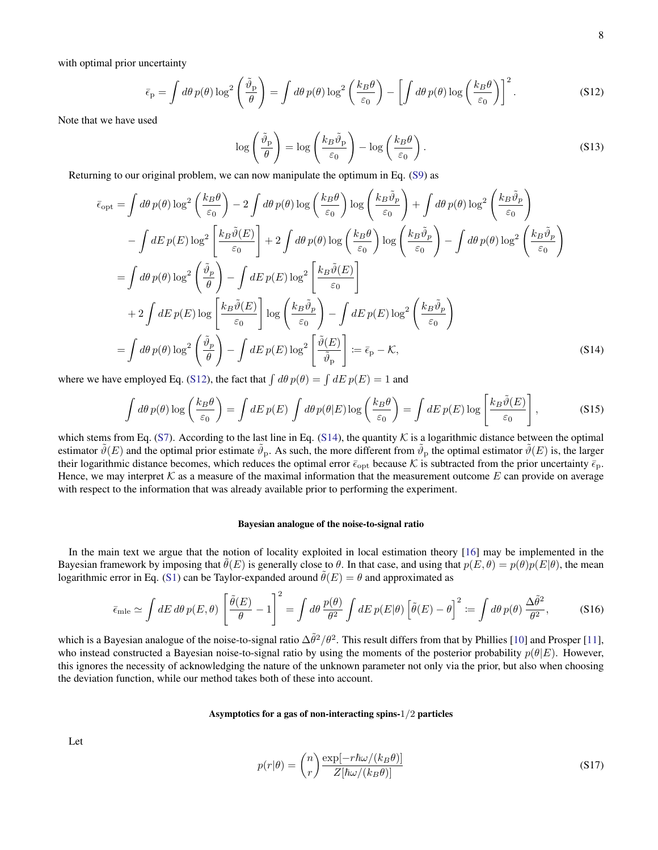with optimal prior uncertainty

$$
\bar{\epsilon}_{\mathbf{p}} = \int d\theta \, p(\theta) \log^2 \left( \frac{\tilde{\vartheta}_{\mathbf{p}}}{\theta} \right) = \int d\theta \, p(\theta) \log^2 \left( \frac{k_B \theta}{\varepsilon_0} \right) - \left[ \int d\theta \, p(\theta) \log \left( \frac{k_B \theta}{\varepsilon_0} \right) \right]^2. \tag{S12}
$$

Note that we have used

$$
\log\left(\frac{\tilde{\vartheta}_{\rm p}}{\theta}\right) = \log\left(\frac{k_B \tilde{\vartheta}_{\rm p}}{\varepsilon_0}\right) - \log\left(\frac{k_B \theta}{\varepsilon_0}\right). \tag{S13}
$$

Returning to our original problem, we can now manipulate the optimum in Eq. [\(S9\)](#page-2-0) as

$$
\bar{\epsilon}_{\text{opt}} = \int d\theta \, p(\theta) \log^{2} \left( \frac{k_{B}\theta}{\varepsilon_{0}} \right) - 2 \int d\theta \, p(\theta) \log \left( \frac{k_{B}\theta}{\varepsilon_{0}} \right) \log \left( \frac{k_{B}\tilde{\vartheta}_{p}}{\varepsilon_{0}} \right) + \int d\theta \, p(\theta) \log^{2} \left( \frac{k_{B}\tilde{\vartheta}_{p}}{\varepsilon_{0}} \right) \n- \int dE \, p(E) \log^{2} \left[ \frac{k_{B}\tilde{\vartheta}(E)}{\varepsilon_{0}} \right] + 2 \int d\theta \, p(\theta) \log \left( \frac{k_{B}\theta}{\varepsilon_{0}} \right) \log \left( \frac{k_{B}\tilde{\vartheta}_{p}}{\varepsilon_{0}} \right) - \int d\theta \, p(\theta) \log^{2} \left( \frac{k_{B}\tilde{\vartheta}_{p}}{\varepsilon_{0}} \right) \n= \int d\theta \, p(\theta) \log^{2} \left( \frac{\tilde{\vartheta}_{p}}{\theta} \right) - \int dE \, p(E) \log^{2} \left[ \frac{k_{B}\tilde{\vartheta}(E)}{\varepsilon_{0}} \right] \n+ 2 \int dE \, p(E) \log \left[ \frac{k_{B}\tilde{\vartheta}(E)}{\varepsilon_{0}} \right] \log \left( \frac{k_{B}\tilde{\vartheta}_{p}}{\varepsilon_{0}} \right) - \int dE \, p(E) \log^{2} \left( \frac{k_{B}\tilde{\vartheta}_{p}}{\varepsilon_{0}} \right) \n= \int d\theta \, p(\theta) \log^{2} \left( \frac{\tilde{\vartheta}_{p}}{\theta} \right) - \int dE \, p(E) \log^{2} \left[ \frac{\tilde{\vartheta}(E)}{\varepsilon_{0}} \right] := \bar{\epsilon}_{p} - K,
$$
\n(S14)

where we have employed Eq. [\(S12\)](#page-2-2), the fact that  $\int d\theta p(\theta) = \int dE p(E) = 1$  and

$$
\int d\theta \, p(\theta) \log \left(\frac{k_B \theta}{\varepsilon_0}\right) = \int dE \, p(E) \int d\theta \, p(\theta|E) \log \left(\frac{k_B \theta}{\varepsilon_0}\right) = \int dE \, p(E) \log \left[\frac{k_B \tilde{\vartheta}(E)}{\varepsilon_0}\right],\tag{S15}
$$

which stems from Eq. [\(S7\)](#page-1-4). According to the last line in Eq. [\(S14\)](#page-3-5), the quantity  $K$  is a logarithmic distance between the optimal estimator  $\tilde{\vartheta}(E)$  and the optimal prior estimate  $\tilde{\vartheta}_P$ . As such, the more different from  $\tilde{\vartheta}_P$  the optimal estimator  $\tilde{\vartheta}(E)$  is, the larger their logarithmic distance becomes, which reduces the optimal error  $\bar{\epsilon}_{\rm opt}$  because K is subtracted from the prior uncertainty  $\bar{\epsilon}_{\rm p}$ . Hence, we may interpret K as a measure of the maximal information that the measurement outcome E can provide on average with respect to the information that was already available prior to performing the experiment.

# Bayesian analogue of the noise-to-signal ratio

In the main text we argue that the notion of locality exploited in local estimation theory [\[16\]](#page-4-6) may be implemented in the Bayesian framework by imposing that  $\theta(E)$  is generally close to  $\theta$ . In that case, and using that  $p(E, \theta) = p(\theta)p(E|\theta)$ , the mean logarithmic error in Eq. [\(S1\)](#page-1-5) can be Taylor-expanded around  $\theta(E) = \theta$  and approximated as

$$
\bar{\epsilon}_{\text{mle}} \simeq \int dE \, d\theta \, p(E,\theta) \left[ \frac{\tilde{\theta}(E)}{\theta} - 1 \right]^2 = \int d\theta \, \frac{p(\theta)}{\theta^2} \int dE \, p(E|\theta) \left[ \tilde{\theta}(E) - \theta \right]^2 := \int d\theta \, p(\theta) \, \frac{\Delta \tilde{\theta}^2}{\theta^2},\tag{S16}
$$

which is a Bayesian analogue of the noise-to-signal ratio  $\Delta\tilde{\theta}^2/\theta^2$ . This result differs from that by Phillies [\[10\]](#page-4-3) and Prosper [\[11\]](#page-4-18), who instead constructed a Bayesian noise-to-signal ratio by using the moments of the posterior probability  $p(\theta|E)$ . However, this ignores the necessity of acknowledging the nature of the unknown parameter not only via the prior, but also when choosing the deviation function, while our method takes both of these into account.

# Asymptotics for a gas of non-interacting spins-1/2 particles

Let

<span id="page-7-0"></span>
$$
p(r|\theta) = {n \choose r} \frac{\exp[-r\hbar\omega/(k_B\theta)]}{Z[\hbar\omega/(k_B\theta)]}
$$
(S17)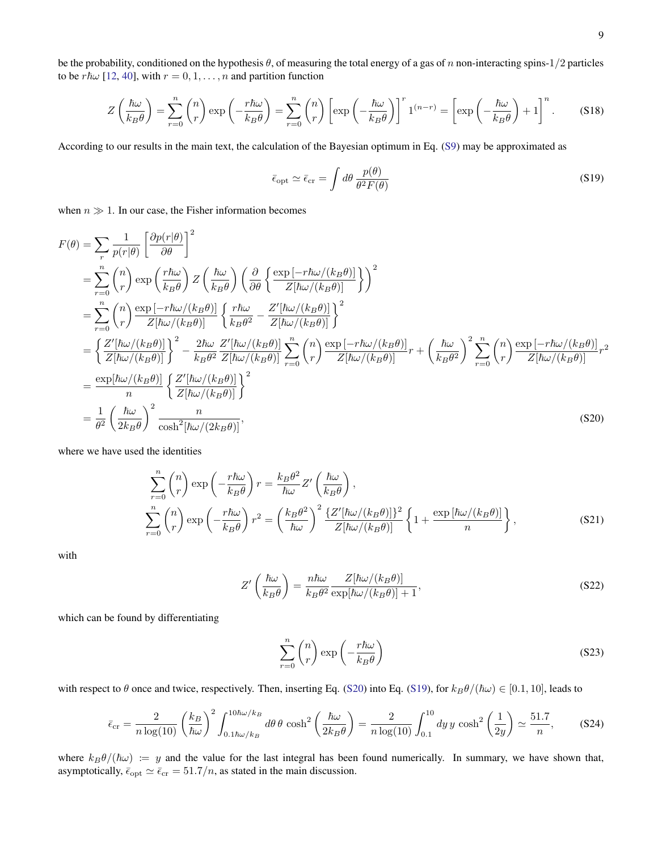be the probability, conditioned on the hypothesis  $\theta$ , of measuring the total energy of a gas of n non-interacting spins-1/2 particles to be  $r\hbar\omega$  [\[12,](#page-4-29) [40\]](#page-4-30), with  $r = 0, 1, \ldots, n$  and partition function

$$
Z\left(\frac{\hbar\omega}{k_B\theta}\right) = \sum_{r=0}^{n} {n \choose r} \exp\left(-\frac{r\hbar\omega}{k_B\theta}\right) = \sum_{r=0}^{n} {n \choose r} \left[\exp\left(-\frac{\hbar\omega}{k_B\theta}\right)\right]^{r} 1^{(n-r)} = \left[\exp\left(-\frac{\hbar\omega}{k_B\theta}\right) + 1\right]^{n}.
$$
 (S18)

According to our results in the main text, the calculation of the Bayesian optimum in Eq. [\(S9\)](#page-2-0) may be approximated as

<span id="page-8-1"></span>
$$
\bar{\epsilon}_{\rm opt} \simeq \bar{\epsilon}_{\rm cr} = \int d\theta \, \frac{p(\theta)}{\theta^2 F(\theta)} \tag{S19}
$$

when  $n \gg 1$ . In our case, the Fisher information becomes

$$
F(\theta) = \sum_{r} \frac{1}{p(r|\theta)} \left[ \frac{\partial p(r|\theta)}{\partial \theta} \right]^2
$$
  
\n
$$
= \sum_{r=0}^{n} {n \choose r} \exp\left(\frac{r\hbar\omega}{k_B\theta}\right) Z\left(\frac{\hbar\omega}{k_B\theta}\right) \left(\frac{\partial}{\partial \theta} \left\{\frac{\exp[-r\hbar\omega/(k_B\theta)]}{Z[\hbar\omega/(k_B\theta)]}\right\} \right)^2
$$
  
\n
$$
= \sum_{r=0}^{n} {n \choose r} \frac{\exp[-r\hbar\omega/(k_B\theta)]}{Z[\hbar\omega/(k_B\theta)]} \left\{\frac{r\hbar\omega}{k_B\theta^2} - \frac{Z'[\hbar\omega/(k_B\theta)]}{Z[\hbar\omega/(k_B\theta)]}\right\}^2
$$
  
\n
$$
= \left\{\frac{Z'[\hbar\omega/(k_B\theta)]}{Z[\hbar\omega/(k_B\theta)]}\right\}^2 - \frac{2\hbar\omega}{k_B\theta^2} \frac{Z'[\hbar\omega/(k_B\theta)]}{Z[\hbar\omega/(k_B\theta)]} \sum_{r=0}^{n} {n \choose r} \frac{\exp[-r\hbar\omega/(k_B\theta)]}{Z[\hbar\omega/(k_B\theta)]} r + \left(\frac{\hbar\omega}{k_B\theta^2}\right)^2 \sum_{r=0}^{n} {n \choose r} \frac{\exp[-r\hbar\omega/(k_B\theta)]}{Z[\hbar\omega/(k_B\theta)]} r^2
$$
  
\n
$$
= \frac{\exp[\hbar\omega/(k_B\theta)]}{n} \left\{\frac{Z'[\hbar\omega/(k_B\theta)]}{Z[\hbar\omega/(k_B\theta)]}\right\}^2
$$
  
\n
$$
= \frac{1}{\theta^2} \left(\frac{\hbar\omega}{2k_B\theta}\right)^2 \frac{n}{\cosh^2[\hbar\omega/(2k_B\theta)]},
$$
 (S20)

where we have used the identities

$$
\sum_{r=0}^{n} {n \choose r} \exp\left(-\frac{r\hbar\omega}{k_B\theta}\right) r = \frac{k_B\theta^2}{\hbar\omega} Z'\left(\frac{\hbar\omega}{k_B\theta}\right),
$$
\n
$$
\sum_{r=0}^{n} {n \choose r} \exp\left(-\frac{r\hbar\omega}{k_B\theta}\right) r^2 = \left(\frac{k_B\theta^2}{\hbar\omega}\right)^2 \frac{\{Z'[\hbar\omega/(k_B\theta)]\}^2}{Z[\hbar\omega/(k_B\theta)]} \left\{1 + \frac{\exp[\hbar\omega/(k_B\theta)]}{n}\right\},
$$
\n(S21)

with

<span id="page-8-0"></span>
$$
Z'\left(\frac{\hbar\omega}{k_B\theta}\right) = \frac{n\hbar\omega}{k_B\theta^2} \frac{Z[\hbar\omega/(k_B\theta)]}{\exp[\hbar\omega/(k_B\theta)] + 1},\tag{S22}
$$

which can be found by differentiating

$$
\sum_{r=0}^{n} \binom{n}{r} \exp\left(-\frac{r\hbar\omega}{k_B\theta}\right) \tag{S23}
$$

with respect to  $\theta$  once and twice, respectively. Then, inserting Eq. [\(S20\)](#page-8-0) into Eq. [\(S19\)](#page-8-1), for  $k_B\theta/(\hbar\omega) \in [0.1, 10]$ , leads to

$$
\bar{\epsilon}_{\rm cr} = \frac{2}{n \log(10)} \left(\frac{k_B}{\hbar \omega}\right)^2 \int_{0.1\hbar\omega/k_B}^{10\hbar\omega/k_B} d\theta \, \theta \, \cosh^2\left(\frac{\hbar \omega}{2k_B \theta}\right) = \frac{2}{n \log(10)} \int_{0.1}^{10} dy \, y \, \cosh^2\left(\frac{1}{2y}\right) \simeq \frac{51.7}{n},\tag{S24}
$$

where  $k_B\theta/(\hbar\omega) := y$  and the value for the last integral has been found numerically. In summary, we have shown that, asymptotically,  $\bar{\epsilon}_{opt} \simeq \bar{\epsilon}_{cr} = 51.7/n$ , as stated in the main discussion.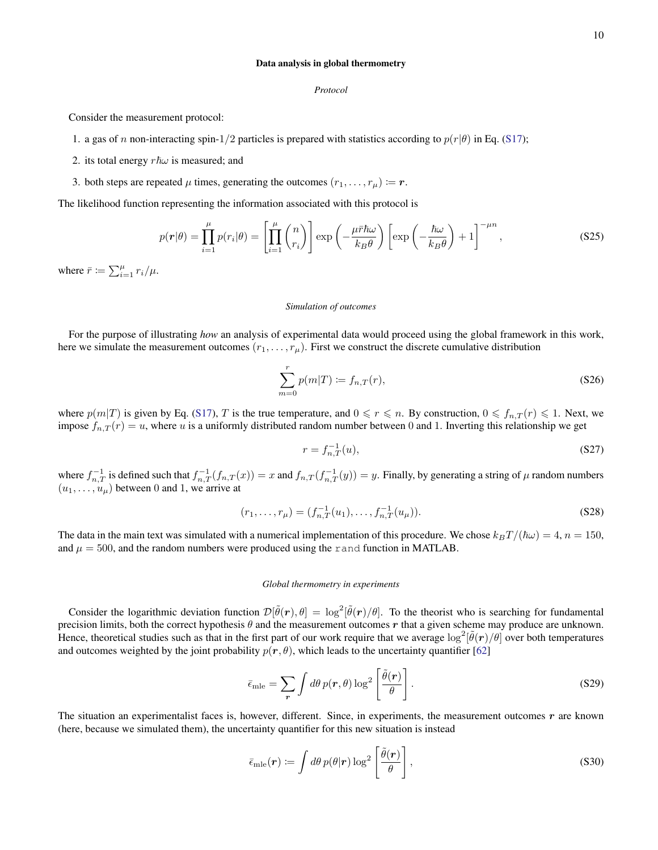*Protocol*

Consider the measurement protocol:

- 1. a gas of n non-interacting spin-1/2 particles is prepared with statistics according to  $p(r|\theta)$  in Eq. [\(S17\)](#page-7-0);
- 2. its total energy  $r\hbar\omega$  is measured; and
- 3. both steps are repeated  $\mu$  times, generating the outcomes  $(r_1, \ldots, r_{\mu}) \coloneqq r$ .

The likelihood function representing the information associated with this protocol is

<span id="page-9-2"></span>
$$
p(\mathbf{r}|\theta) = \prod_{i=1}^{\mu} p(r_i|\theta) = \left[ \prod_{i=1}^{\mu} {n \choose r_i} \right] \exp\left(-\frac{\mu \bar{r} \hbar \omega}{k_B \theta}\right) \left[ \exp\left(-\frac{\hbar \omega}{k_B \theta}\right) + 1 \right]^{-\mu n}, \tag{S25}
$$

where  $\bar{r} \coloneqq \sum_{i=1}^{\mu} r_i / \mu$ .

### *Simulation of outcomes*

For the purpose of illustrating *how* an analysis of experimental data would proceed using the global framework in this work, here we simulate the measurement outcomes  $(r_1, \ldots, r_\mu)$ . First we construct the discrete cumulative distribution

$$
\sum_{m=0}^{r} p(m|T) \coloneqq f_{n,T}(r),\tag{S26}
$$

where  $p(m|T)$  is given by Eq. [\(S17\)](#page-7-0), T is the true temperature, and  $0 \le r \le n$ . By construction,  $0 \le f_{n,T}(r) \le 1$ . Next, we impose  $f_{n,T}(r) = u$ , where u is a uniformly distributed random number between 0 and 1. Inverting this relationship we get

$$
r = f_{n,T}^{-1}(u),
$$
 (S27)

where  $f_{n,T}^{-1}$  is defined such that  $f_{n,T}^{-1}(f_{n,T}(x)) = x$  and  $f_{n,T}(f_{n,T}^{-1}(y)) = y$ . Finally, by generating a string of  $\mu$  random numbers  $(u_1, \ldots, u_\mu)$  between 0 and 1, we arrive at

$$
(r_1, \ldots, r_\mu) = (f_{n,T}^{-1}(u_1), \ldots, f_{n,T}^{-1}(u_\mu)).
$$
\n(S28)

The data in the main text was simulated with a numerical implementation of this procedure. We chose  $k_BT/(\hbar\omega) = 4$ ,  $n = 150$ , and  $\mu = 500$ , and the random numbers were produced using the rand function in MATLAB.

# *Global thermometry in experiments*

Consider the logarithmic deviation function  $\mathcal{D}[\tilde{\theta}(r),\theta] = \log^2[\tilde{\theta}(r)/\theta]$ . To the theorist who is searching for fundamental precision limits, both the correct hypothesis  $\theta$  and the measurement outcomes r that a given scheme may produce are unknown. Hence, theoretical studies such as that in the first part of our work require that we average  $\log^2[\tilde{\theta}(r)/\theta]$  over both temperatures and outcomes weighted by the joint probability  $p(r, \theta)$ , which leads to the uncertainty quantifier [\[62\]](#page-5-12)

<span id="page-9-1"></span>
$$
\bar{\epsilon}_{\text{mle}} = \sum_{\mathbf{r}} \int d\theta \, p(\mathbf{r}, \theta) \log^2 \left[ \frac{\tilde{\theta}(\mathbf{r})}{\theta} \right]. \tag{S29}
$$

The situation an experimentalist faces is, however, different. Since, in experiments, the measurement outcomes  $r$  are known (here, because we simulated them), the uncertainty quantifier for this new situation is instead

<span id="page-9-0"></span>
$$
\bar{\epsilon}_{\text{mle}}(\boldsymbol{r}) \coloneqq \int d\theta \, p(\theta|\boldsymbol{r}) \log^2 \left[ \frac{\tilde{\theta}(\boldsymbol{r})}{\theta} \right],\tag{S30}
$$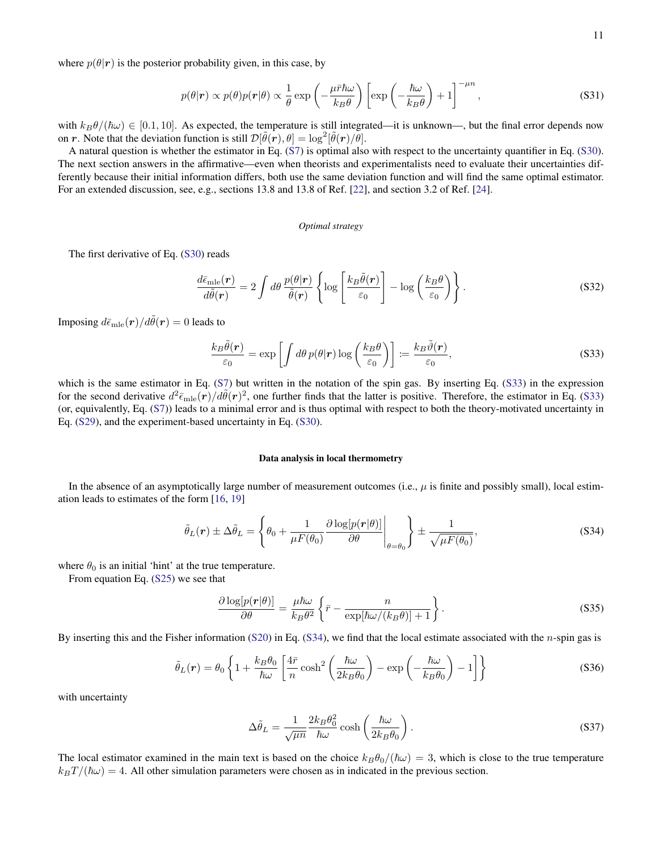where  $p(\theta|\mathbf{r})$  is the posterior probability given, in this case, by

$$
p(\theta|\mathbf{r}) \propto p(\theta)p(\mathbf{r}|\theta) \propto \frac{1}{\theta} \exp\left(-\frac{\mu\bar{r}\hbar\omega}{k_B\theta}\right) \left[\exp\left(-\frac{\hbar\omega}{k_B\theta}\right) + 1\right]^{-\mu n},\tag{S31}
$$

with  $k_B\theta/(\hbar\omega) \in [0.1, 10]$ . As expected, the temperature is still integrated—it is unknown—, but the final error depends now on r. Note that the deviation function is still  $\mathcal{D}[\tilde{\theta}(\mathbf{r}), \theta] = \log^2[\tilde{\theta}(\mathbf{r})/\theta].$ 

A natural question is whether the estimator in Eq. [\(S7\)](#page-1-4) is optimal also with respect to the uncertainty quantifier in Eq. [\(S30\)](#page-9-0). The next section answers in the affirmative—even when theorists and experimentalists need to evaluate their uncertainties differently because their initial information differs, both use the same deviation function and will find the same optimal estimator. For an extended discussion, see, e.g., sections 13.8 and 13.8 of Ref. [\[22\]](#page-4-12), and section 3.2 of Ref. [\[24\]](#page-4-13).

### *Optimal strategy*

The first derivative of Eq. [\(S30\)](#page-9-0) reads

$$
\frac{d\bar{\epsilon}_{\text{mle}}(\bm{r})}{d\tilde{\theta}(\bm{r})} = 2 \int d\theta \, \frac{p(\theta|\bm{r})}{\tilde{\theta}(\bm{r})} \left\{ \log \left[ \frac{k_B \tilde{\theta}(\bm{r})}{\varepsilon_0} \right] - \log \left( \frac{k_B \theta}{\varepsilon_0} \right) \right\}.
$$
 (S32)

Imposing  $d\bar{\epsilon}_{mle}(\mathbf{r})/d\tilde{\theta}(\mathbf{r})=0$  leads to

<span id="page-10-0"></span>
$$
\frac{k_B \tilde{\theta}(r)}{\varepsilon_0} = \exp\left[\int d\theta \, p(\theta|r) \log\left(\frac{k_B \theta}{\varepsilon_0}\right)\right] := \frac{k_B \tilde{\vartheta}(r)}{\varepsilon_0},\tag{S33}
$$

which is the same estimator in Eq. [\(S7\)](#page-1-4) but written in the notation of the spin gas. By inserting Eq. [\(S33\)](#page-10-0) in the expression for the second derivative  $d^2\bar{\epsilon}_{mle}(\vec{r})/d\tilde{\theta}(r)^2$ , one further finds that the latter is positive. Therefore, the estimator in Eq. [\(S33\)](#page-10-0) (or, equivalently, Eq. [\(S7\)](#page-1-4)) leads to a minimal error and is thus optimal with respect to both the theory-motivated uncertainty in Eq. [\(S29\)](#page-9-1), and the experiment-based uncertainty in Eq. [\(S30\)](#page-9-0).

### Data analysis in local thermometry

In the absence of an asymptotically large number of measurement outcomes (i.e.,  $\mu$  is finite and possibly small), local estimation leads to estimates of the form [\[16,](#page-4-6) [19\]](#page-4-9)

<span id="page-10-1"></span>
$$
\tilde{\theta}_L(\mathbf{r}) \pm \Delta \tilde{\theta}_L = \left\{ \theta_0 + \frac{1}{\mu F(\theta_0)} \frac{\partial \log[p(\mathbf{r}|\theta)]}{\partial \theta} \Big|_{\theta = \theta_0} \right\} \pm \frac{1}{\sqrt{\mu F(\theta_0)}},
$$
\n(S34)

where  $\theta_0$  is an initial 'hint' at the true temperature.

From equation Eq. [\(S25\)](#page-9-2) we see that

$$
\frac{\partial \log[p(r|\theta)]}{\partial \theta} = \frac{\mu \hbar \omega}{k_B \theta^2} \left\{ \bar{r} - \frac{n}{\exp[\hbar \omega/(k_B \theta)] + 1} \right\}.
$$
 (S35)

By inserting this and the Fisher information [\(S20\)](#page-8-0) in Eq. [\(S34\)](#page-10-1), we find that the local estimate associated with the *n*-spin gas is

$$
\tilde{\theta}_L(r) = \theta_0 \left\{ 1 + \frac{k_B \theta_0}{\hbar \omega} \left[ \frac{4\bar{r}}{n} \cosh^2 \left( \frac{\hbar \omega}{2k_B \theta_0} \right) - \exp \left( -\frac{\hbar \omega}{k_B \theta_0} \right) - 1 \right] \right\}
$$
(S36)

with uncertainty

$$
\Delta \tilde{\theta}_L = \frac{1}{\sqrt{\mu n}} \frac{2k_B \theta_0^2}{\hbar \omega} \cosh\left(\frac{\hbar \omega}{2k_B \theta_0}\right). \tag{S37}
$$

The local estimator examined in the main text is based on the choice  $k_B\theta_0/(\hbar\omega) = 3$ , which is close to the true temperature  $k_BT/(\hbar\omega) = 4$ . All other simulation parameters were chosen as in indicated in the previous section.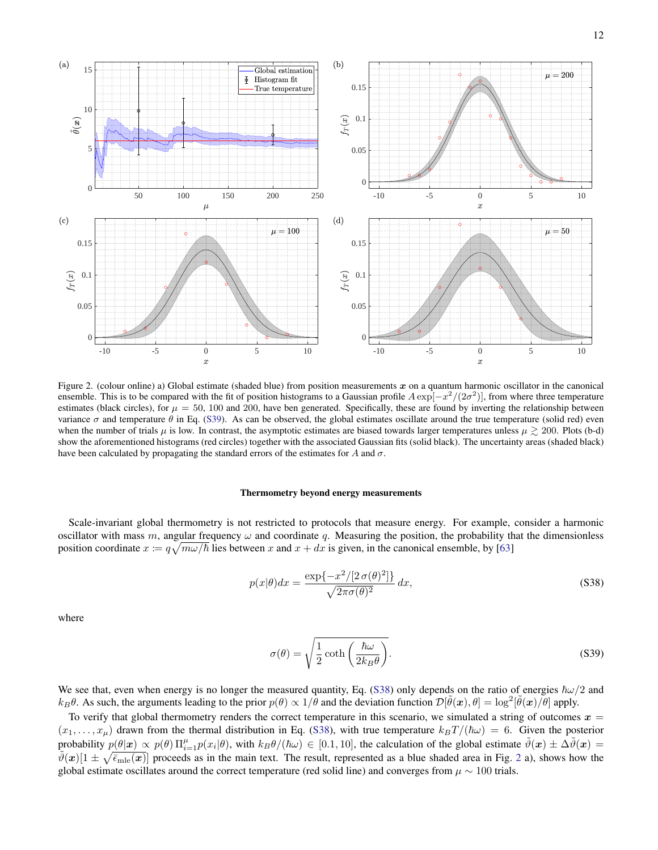

<span id="page-11-2"></span>Figure 2. (colour online) a) Global estimate (shaded blue) from position measurements  $x$  on a quantum harmonic oscillator in the canonical ensemble. This is to be compared with the fit of position histograms to a Gaussian profile  $A \exp[-x^2/(2\sigma^2)]$ , from where three temperature estimates (black circles), for  $\mu = 50$ , 100 and 200, have ben generated. Specifically, these are found by inverting the relationship between variance  $\sigma$  and temperature  $\theta$  in Eq. [\(S39\)](#page-11-0). As can be observed, the global estimates oscillate around the true temperature (solid red) even when the number of trials  $\mu$  is low. In contrast, the asymptotic estimates are biased towards larger temperatures unless  $\mu \gtrsim 200$ . Plots (b-d) show the aforementioned histograms (red circles) together with the associated Gaussian fits (solid black). The uncertainty areas (shaded black) have been calculated by propagating the standard errors of the estimates for A and  $\sigma$ .

### Thermometry beyond energy measurements

Scale-invariant global thermometry is not restricted to protocols that measure energy. For example, consider a harmonic oscillator with mass m, angular frequency  $\omega$  and coordinate q. Measuring the position, the probability that the dimensionless position coordinate  $x := q\sqrt{m\omega/\hbar}$  lies between x and  $x + dx$  is given, in the canonical ensemble, by [\[63\]](#page-5-13)

<span id="page-11-1"></span>
$$
p(x|\theta)dx = \frac{\exp\{-x^2/[2\,\sigma(\theta)^2]\}}{\sqrt{2\pi\sigma(\theta)^2}}\,dx,\tag{S38}
$$

where

<span id="page-11-0"></span>
$$
\sigma(\theta) = \sqrt{\frac{1}{2} \coth\left(\frac{\hbar \omega}{2k_B \theta}\right)}.
$$
\n(S39)

We see that, even when energy is no longer the measured quantity, Eq. [\(S38\)](#page-11-1) only depends on the ratio of energies  $\hbar \omega/2$  and  $k_B\theta$ . As such, the arguments leading to the prior  $p(\theta) \propto 1/\theta$  and the deviation function  $\mathcal{D}[\tilde{\theta}(\bm{x}), \theta] = \log^2[\tilde{\theta}(\bm{x})/\theta]$  apply.

To verify that global thermometry renders the correct temperature in this scenario, we simulated a string of outcomes  $x =$  $(x_1, \ldots, x_\mu)$  drawn from the thermal distribution in Eq. [\(S38\)](#page-11-1), with true temperature  $k_BT/(\hbar\omega) = 6$ . Given the posterior probability  $p(\theta|\mathbf{x}) \propto p(\theta) \prod_{i=1}^{\mu} p(x_i|\theta)$ , with  $k_B \theta/(\hbar \omega) \in [0.1, 10]$ , the calculation of the global estimate  $\tilde{\vartheta}(\mathbf{x}) \pm \Delta \tilde{\vartheta}(\mathbf{x}) =$  $\tilde{\vartheta}(x)[1 \pm \sqrt{\bar{\epsilon}_{\text{mle}}(x)}]$  proceeds as in the main text. The result, represented as a blue shaded area in Fig. [2](#page-11-2) a), shows how the global estimate oscillates around the correct temperature (red solid line) and converges from  $\mu \sim 100$  trials.